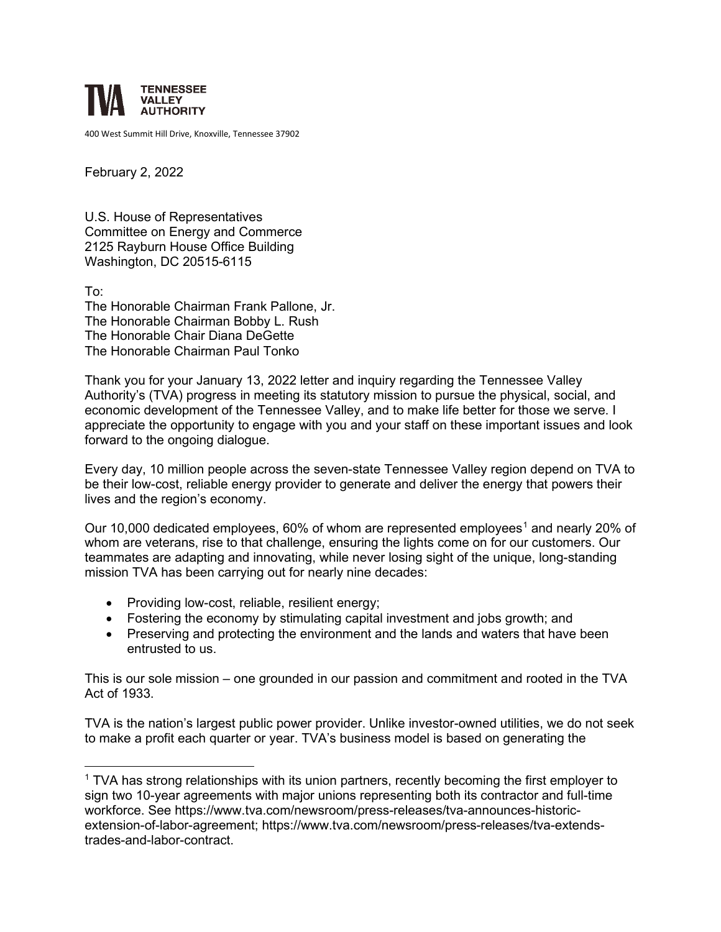

400 West Summit Hill Drive, Knoxville, Tennessee 37902

February 2, 2022

U.S. House of Representatives Committee on Energy and Commerce 2125 Rayburn House Office Building Washington, DC 20515-6115

To: The Honorable Chairman Frank Pallone, Jr. The Honorable Chairman Bobby L. Rush The Honorable Chair Diana DeGette The Honorable Chairman Paul Tonko

Thank you for your January 13, 2022 letter and inquiry regarding the Tennessee Valley Authority's (TVA) progress in meeting its statutory mission to pursue the physical, social, and economic development of the Tennessee Valley, and to make life better for those we serve. I appreciate the opportunity to engage with you and your staff on these important issues and look forward to the ongoing dialogue.

Every day, 10 million people across the seven-state Tennessee Valley region depend on TVA to be their low-cost, reliable energy provider to generate and deliver the energy that powers their lives and the region's economy.

Our [1](#page-0-0)0,000 dedicated employees, 60% of whom are represented employees<sup>1</sup> and nearly 20% of whom are veterans, rise to that challenge, ensuring the lights come on for our customers. Our teammates are adapting and innovating, while never losing sight of the unique, long-standing mission TVA has been carrying out for nearly nine decades:

- Providing low-cost, reliable, resilient energy;
- Fostering the economy by stimulating capital investment and jobs growth; and
- Preserving and protecting the environment and the lands and waters that have been entrusted to us.

This is our sole mission – one grounded in our passion and commitment and rooted in the TVA Act of 1933.

TVA is the nation's largest public power provider. Unlike investor-owned utilities, we do not seek to make a profit each quarter or year. TVA's business model is based on generating the

<span id="page-0-0"></span> $1$  TVA has strong relationships with its union partners, recently becoming the first employer to sign two 10-year agreements with major unions representing both its contractor and full-time workforce. See [https://www.tva.com/newsroom/press-releases/tva-announces-historic](https://www.tva.com/newsroom/press-releases/tva-announces-historic-extension-of-labor-agreement)[extension-of-labor-agreement;](https://www.tva.com/newsroom/press-releases/tva-announces-historic-extension-of-labor-agreement) https://www.tva.com/newsroom/press-releases/tva-extendstrades-and-labor-contract.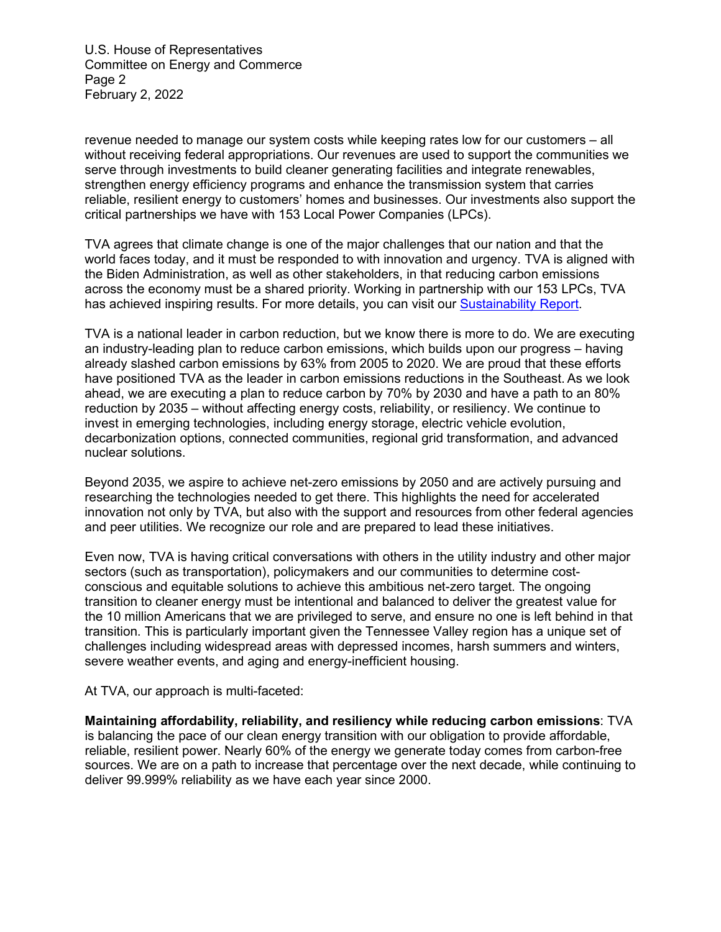U.S. House of Representatives Committee on Energy and Commerce Page 2 February 2, 2022

revenue needed to manage our system costs while keeping rates low for our customers – all without receiving federal appropriations. Our revenues are used to support the communities we serve through investments to build cleaner generating facilities and integrate renewables, strengthen energy efficiency programs and enhance the transmission system that carries reliable, resilient energy to customers' homes and businesses. Our investments also support the critical partnerships we have with 153 Local Power Companies (LPCs).

TVA agrees that climate change is one of the major challenges that our nation and that the world faces today, and it must be responded to with innovation and urgency. TVA is aligned with the Biden Administration, as well as other stakeholders, in that reducing carbon emissions across the economy must be a shared priority. Working in partnership with our 153 LPCs, TVA has achieved inspiring results. For more details, you can visit our [Sustainability Report.](https://tva-azr-eastus-cdn-ep-tvawcm-prd.azureedge.net/cdn-tvawcma/docs/default-source/environment/tva-sustainability-report-fy2020.pdf?sfvrsn=a194b897_7)

TVA is a national leader in carbon reduction, but we know there is more to do. We are executing an industry-leading plan to reduce carbon emissions, which builds upon our progress – having already slashed carbon emissions by 63% from 2005 to 2020. We are proud that these efforts have positioned TVA as the leader in carbon emissions reductions in the Southeast. As we look ahead, we are executing a plan to reduce carbon by 70% by 2030 and have a path to an 80% reduction by 2035 – without affecting energy costs, reliability, or resiliency. We continue to invest in emerging technologies, including energy storage, electric vehicle evolution, decarbonization options, connected communities, regional grid transformation, and advanced nuclear solutions.

Beyond 2035, we aspire to achieve net-zero emissions by 2050 and are actively pursuing and researching the technologies needed to get there. This highlights the need for accelerated innovation not only by TVA, but also with the support and resources from other federal agencies and peer utilities. We recognize our role and are prepared to lead these initiatives.

Even now, TVA is having critical conversations with others in the utility industry and other major sectors (such as transportation), policymakers and our communities to determine costconscious and equitable solutions to achieve this ambitious net-zero target. The ongoing transition to cleaner energy must be intentional and balanced to deliver the greatest value for the 10 million Americans that we are privileged to serve, and ensure no one is left behind in that transition. This is particularly important given the Tennessee Valley region has a unique set of challenges including widespread areas with depressed incomes, harsh summers and winters, severe weather events, and aging and energy-inefficient housing.

At TVA, our approach is multi-faceted:

**Maintaining affordability, reliability, and resiliency while reducing carbon emissions**: TVA is balancing the pace of our clean energy transition with our obligation to provide affordable, reliable, resilient power. Nearly 60% of the energy we generate today comes from carbon-free sources. We are on a path to increase that percentage over the next decade, while continuing to deliver 99.999% reliability as we have each year since 2000.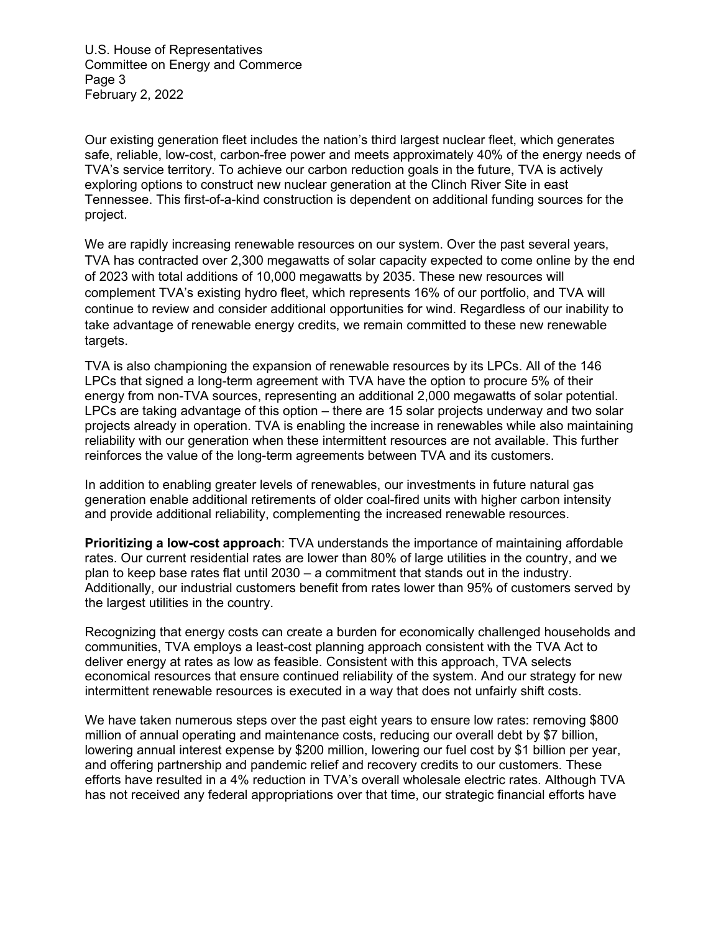U.S. House of Representatives Committee on Energy and Commerce Page 3 February 2, 2022

Our existing generation fleet includes the nation's third largest nuclear fleet, which generates safe, reliable, low-cost, carbon-free power and meets approximately 40% of the energy needs of TVA's service territory. To achieve our carbon reduction goals in the future, TVA is actively exploring options to construct new nuclear generation at the Clinch River Site in east Tennessee. This first-of-a-kind construction is dependent on additional funding sources for the project.

We are rapidly increasing renewable resources on our system. Over the past several years, TVA has contracted over 2,300 megawatts of solar capacity expected to come online by the end of 2023 with total additions of 10,000 megawatts by 2035. These new resources will complement TVA's existing hydro fleet, which represents 16% of our portfolio, and TVA will continue to review and consider additional opportunities for wind. Regardless of our inability to take advantage of renewable energy credits, we remain committed to these new renewable targets.

TVA is also championing the expansion of renewable resources by its LPCs. All of the 146 LPCs that signed a long-term agreement with TVA have the option to procure 5% of their energy from non-TVA sources, representing an additional 2,000 megawatts of solar potential. LPCs are taking advantage of this option – there are 15 solar projects underway and two solar projects already in operation. TVA is enabling the increase in renewables while also maintaining reliability with our generation when these intermittent resources are not available. This further reinforces the value of the long-term agreements between TVA and its customers.

In addition to enabling greater levels of renewables, our investments in future natural gas generation enable additional retirements of older coal-fired units with higher carbon intensity and provide additional reliability, complementing the increased renewable resources.

**Prioritizing a low-cost approach**: TVA understands the importance of maintaining affordable rates. Our current residential rates are lower than 80% of large utilities in the country, and we plan to keep base rates flat until 2030 – a commitment that stands out in the industry. Additionally, our industrial customers benefit from rates lower than 95% of customers served by the largest utilities in the country.

Recognizing that energy costs can create a burden for economically challenged households and communities, TVA employs a least-cost planning approach consistent with the TVA Act to deliver energy at rates as low as feasible. Consistent with this approach, TVA selects economical resources that ensure continued reliability of the system. And our strategy for new intermittent renewable resources is executed in a way that does not unfairly shift costs.

We have taken numerous steps over the past eight years to ensure low rates: removing \$800 million of annual operating and maintenance costs, reducing our overall debt by \$7 billion, lowering annual interest expense by \$200 million, lowering our fuel cost by \$1 billion per year, and offering partnership and pandemic relief and recovery credits to our customers. These efforts have resulted in a 4% reduction in TVA's overall wholesale electric rates. Although TVA has not received any federal appropriations over that time, our strategic financial efforts have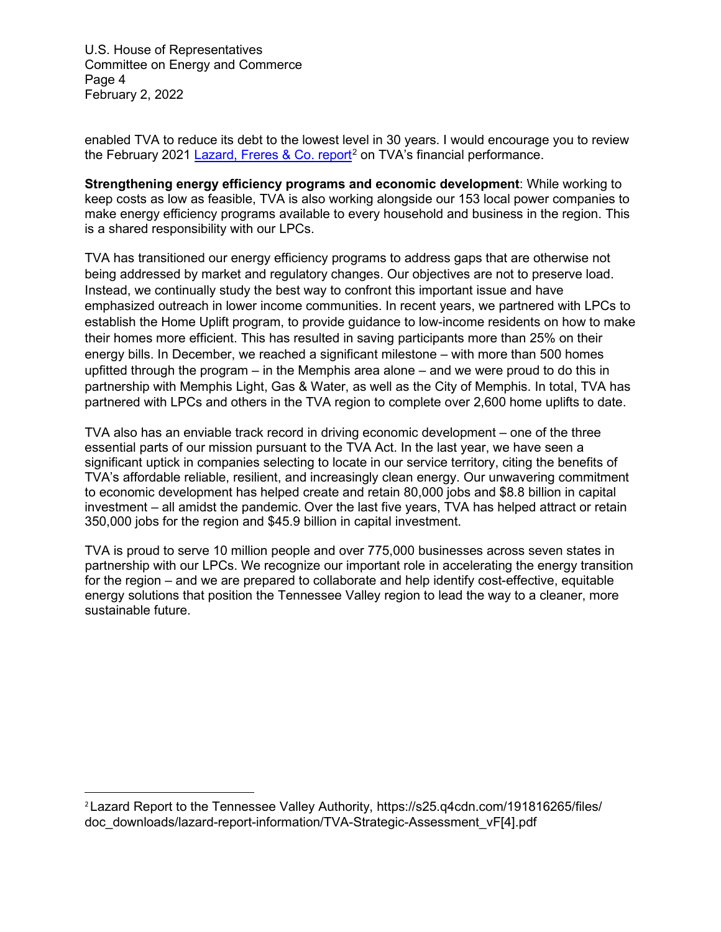U.S. House of Representatives Committee on Energy and Commerce Page 4 February 2, 2022

enabled TVA to reduce its debt to the lowest level in 30 years. I would encourage you to review the February 2021 Lazard, Freres [& Co. report](https://s25.q4cdn.com/191816265/files/doc_downloads/lazard-report-information/TVA-Strategic-Assessment_vF%5b4%5d.pdf)<sup>[2](#page-3-0)</sup> on TVA's financial performance.

**Strengthening energy efficiency programs and economic development**: While working to keep costs as low as feasible, TVA is also working alongside our 153 local power companies to make energy efficiency programs available to every household and business in the region. This is a shared responsibility with our LPCs.

TVA has transitioned our energy efficiency programs to address gaps that are otherwise not being addressed by market and regulatory changes. Our objectives are not to preserve load. Instead, we continually study the best way to confront this important issue and have emphasized outreach in lower income communities. In recent years, we partnered with LPCs to establish the Home Uplift program, to provide guidance to low-income residents on how to make their homes more efficient. This has resulted in saving participants more than 25% on their energy bills. In December, we reached a significant milestone – with more than 500 homes upfitted through the program – in the Memphis area alone – and we were proud to do this in partnership with Memphis Light, Gas & Water, as well as the City of Memphis. In total, TVA has partnered with LPCs and others in the TVA region to complete over 2,600 home uplifts to date.

TVA also has an enviable track record in driving economic development – one of the three essential parts of our mission pursuant to the TVA Act. In the last year, we have seen a significant uptick in companies selecting to locate in our service territory, citing the benefits of TVA's affordable reliable, resilient, and increasingly clean energy. Our unwavering commitment to economic development has helped create and retain 80,000 jobs and \$8.8 billion in capital investment – all amidst the pandemic. Over the last five years, TVA has helped attract or retain 350,000 jobs for the region and \$45.9 billion in capital investment.

TVA is proud to serve 10 million people and over 775,000 businesses across seven states in partnership with our LPCs. We recognize our important role in accelerating the energy transition for the region – and we are prepared to collaborate and help identify cost-effective, equitable energy solutions that position the Tennessee Valley region to lead the way to a cleaner, more sustainable future.

<span id="page-3-0"></span><sup>2</sup>Lazard Report to the Tennessee Valley Authority, <https://s25.q4cdn.com/191816265/files/> doc\_downloads/lazard-report-information/TVA-Strategic-Assessment\_vF[4].pdf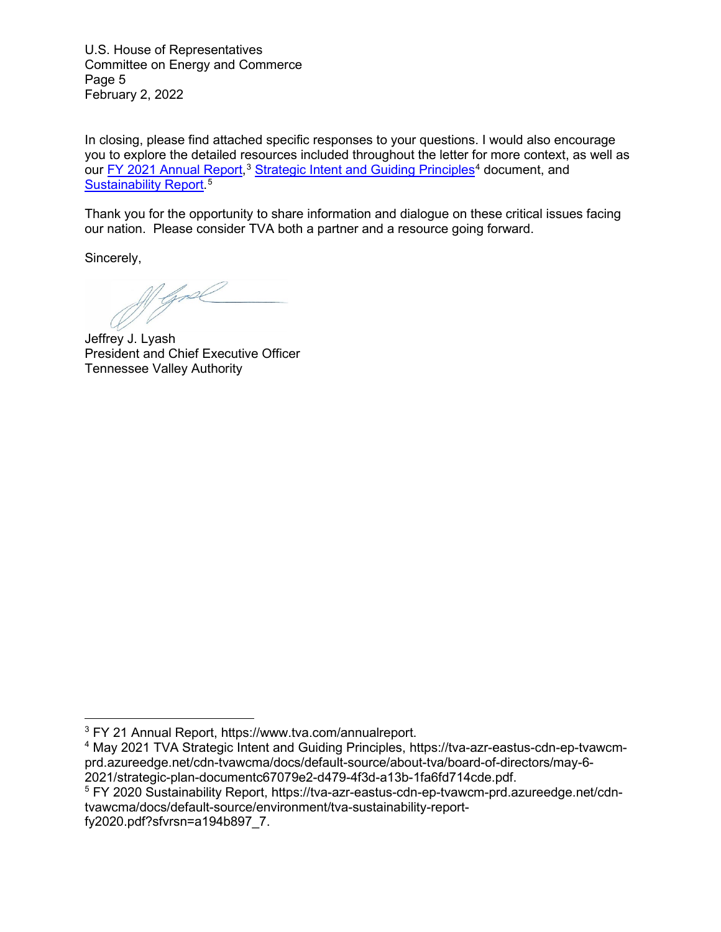U.S. House of Representatives Committee on Energy and Commerce Page 5 February 2, 2022

In closing, please find attached specific responses to your questions. I would also encourage you to explore the detailed resources included throughout the letter for more context, as well as our <u>FY 2021 Annual Report</u>,<sup>[3](#page-4-0)</sup> [Strategic Intent and Guiding Principles](https://tva-azr-eastus-cdn-ep-tvawcm-prd.azureedge.net/cdn-tvawcma/docs/default-source/about-tva/board-of-directors/may-6-2021/strategic-plan-documentc67079e2-d479-4f3d-a13b-1fa6fd714cde.pdf)<sup>[4](#page-4-1)</sup> document, and [Sustainability Report.](https://tva-azr-eastus-cdn-ep-tvawcm-prd.azureedge.net/cdn-tvawcma/docs/default-source/environment/tva-sustainability-report-fy2020.pdf?sfvrsn=a194b897_7) [5](#page-4-2)

Thank you for the opportunity to share information and dialogue on these critical issues facing our nation. Please consider TVA both a partner and a resource going forward.

Sincerely,

 $\mathbb{Z}/\mathbb{Z}$ 

Jeffrey J. Lyash President and Chief Executive Officer Tennessee Valley Authority

<span id="page-4-0"></span><sup>3</sup> FY 21 Annual Report, https://www.tva.com/annualreport.

<span id="page-4-1"></span><sup>4</sup> May 2021 TVA Strategic Intent and Guiding Principles, [https://tva-azr-eastus-cdn-ep-tvawcm](https://tva-azr-eastus-cdn-ep-tvawcm-prd.azureedge.net/cdn-tvawcma/docs/default-source/about-tva/board-of-directors/may-6-2021/strategic-plan-documentc67079e2-d479-4f3d-a13b-1fa6fd714cde.pdf)[prd.azureedge.net/cdn-tvawcma/docs/default-source/about-tva/board-of-directors/may-6-](https://tva-azr-eastus-cdn-ep-tvawcm-prd.azureedge.net/cdn-tvawcma/docs/default-source/about-tva/board-of-directors/may-6-2021/strategic-plan-documentc67079e2-d479-4f3d-a13b-1fa6fd714cde.pdf) [2021/strategic-plan-documentc67079e2-d479-4f3d-a13b-1fa6fd714cde.pdf.](https://tva-azr-eastus-cdn-ep-tvawcm-prd.azureedge.net/cdn-tvawcma/docs/default-source/about-tva/board-of-directors/may-6-2021/strategic-plan-documentc67079e2-d479-4f3d-a13b-1fa6fd714cde.pdf)

<span id="page-4-2"></span><sup>5</sup> FY 2020 Sustainability Report, https://tva-azr-eastus-cdn-ep-tvawcm-prd.azureedge.net/cdntvawcma/docs/default-source/environment/tva-sustainability-report-

fy2020.pdf?sfvrsn=a194b897\_7.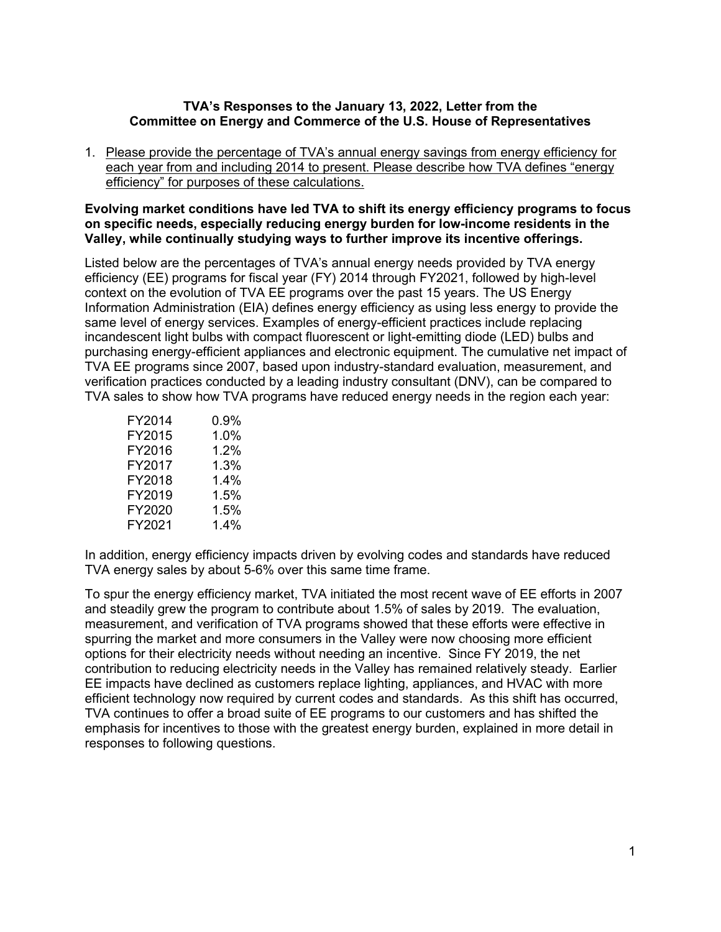#### **TVA's Responses to the January 13, 2022, Letter from the Committee on Energy and Commerce of the U.S. House of Representatives**

1. Please provide the percentage of TVA's annual energy savings from energy efficiency for each year from and including 2014 to present. Please describe how TVA defines "energy efficiency" for purposes of these calculations.

#### **Evolving market conditions have led TVA to shift its energy efficiency programs to focus on specific needs, especially reducing energy burden for low-income residents in the Valley, while continually studying ways to further improve its incentive offerings.**

Listed below are the percentages of TVA's annual energy needs provided by TVA energy efficiency (EE) programs for fiscal year (FY) 2014 through FY2021, followed by high-level context on the evolution of TVA EE programs over the past 15 years. The US Energy Information Administration (EIA) defines energy efficiency as using less energy to provide the same level of energy services. Examples of energy-efficient practices include replacing incandescent light bulbs with compact fluorescent or light-emitting diode (LED) bulbs and purchasing energy-efficient appliances and electronic equipment. The cumulative net impact of TVA EE programs since 2007, based upon industry-standard evaluation, measurement, and verification practices conducted by a leading industry consultant (DNV), can be compared to TVA sales to show how TVA programs have reduced energy needs in the region each year:

| FY2014 | 0.9% |
|--------|------|
| FY2015 | 1.0% |
| FY2016 | 1.2% |
| FY2017 | 1.3% |
| FY2018 | 1.4% |
| FY2019 | 1.5% |
| FY2020 | 1.5% |
| FY2021 | 1.4% |

In addition, energy efficiency impacts driven by evolving codes and standards have reduced TVA energy sales by about 5-6% over this same time frame.

To spur the energy efficiency market, TVA initiated the most recent wave of EE efforts in 2007 and steadily grew the program to contribute about 1.5% of sales by 2019. The evaluation, measurement, and verification of TVA programs showed that these efforts were effective in spurring the market and more consumers in the Valley were now choosing more efficient options for their electricity needs without needing an incentive. Since FY 2019, the net contribution to reducing electricity needs in the Valley has remained relatively steady. Earlier EE impacts have declined as customers replace lighting, appliances, and HVAC with more efficient technology now required by current codes and standards. As this shift has occurred, TVA continues to offer a broad suite of EE programs to our customers and has shifted the emphasis for incentives to those with the greatest energy burden, explained in more detail in responses to following questions.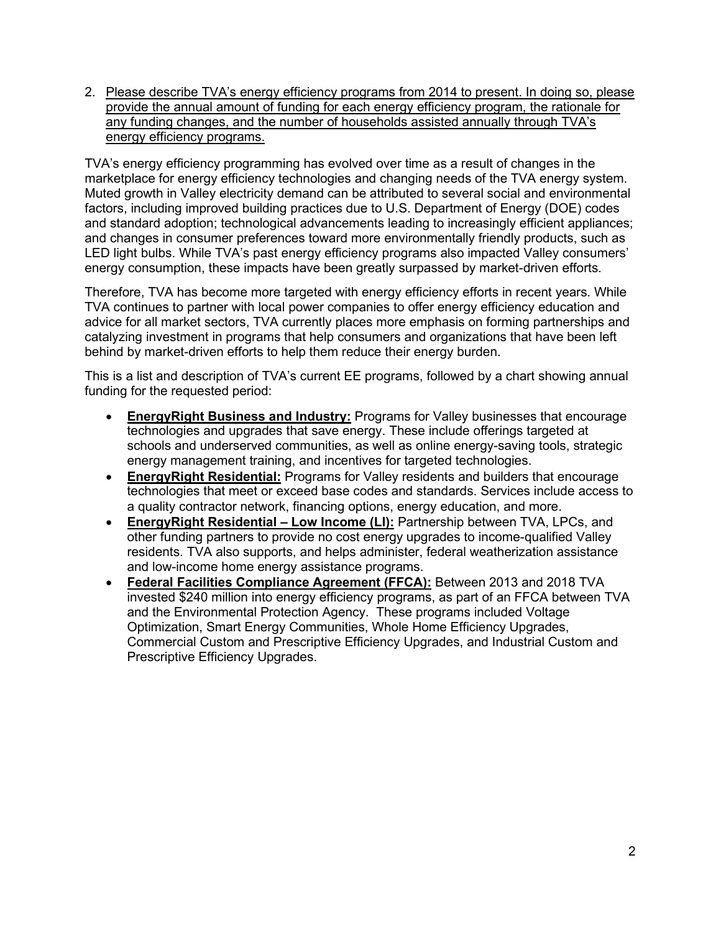2. Please describe TVA's energy efficiency programs from 2014 to present. In doing so, please provide the annual amount of funding for each energy efficiency program, the rationale for any funding changes, and the number of households assisted annually through TVA's energy efficiency programs.

TVA's energy efficiency programming has evolved over time as a result of changes in the marketplace for energy efficiency technologies and changing needs of the TVA energy system. Muted growth in Valley electricity demand can be attributed to several social and environmental factors, including improved building practices due to U.S. Department of Energy (DOE) codes and standard adoption; technological advancements leading to increasingly efficient appliances; and changes in consumer preferences toward more environmentally friendly products, such as LED light bulbs. While TVA's past energy efficiency programs also impacted Valley consumers' energy consumption, these impacts have been greatly surpassed by market-driven efforts.

Therefore, TVA has become more targeted with energy efficiency efforts in recent years. While TVA continues to partner with local power companies to offer energy efficiency education and advice for all market sectors, TVA currently places more emphasis on forming partnerships and catalyzing investment in programs that help consumers and organizations that have been left behind by market-driven efforts to help them reduce their energy burden.

This is a list and description of TVA's current EE programs, followed by a chart showing annual funding for the requested period:

- **EnergyRight Business and Industry:** Programs for Valley businesses that encourage technologies and upgrades that save energy. These include offerings targeted at schools and underserved communities, as well as online energy-saving tools, strategic energy management training, and incentives for targeted technologies.
- **EnergyRight Residential:** Programs for Valley residents and builders that encourage technologies that meet or exceed base codes and standards. Services include access to a quality contractor network, financing options, energy education, and more.
- **EnergyRight Residential – Low Income (LI):** Partnership between TVA, LPCs, and other funding partners to provide no cost energy upgrades to income-qualified Valley residents. TVA also supports, and helps administer, federal weatherization assistance and low-income home energy assistance programs.
- **Federal Facilities Compliance Agreement (FFCA):** Between 2013 and 2018 TVA invested \$240 million into energy efficiency programs, as part of an FFCA between TVA and the Environmental Protection Agency. These programs included Voltage Optimization, Smart Energy Communities, Whole Home Efficiency Upgrades, Commercial Custom and Prescriptive Efficiency Upgrades, and Industrial Custom and Prescriptive Efficiency Upgrades.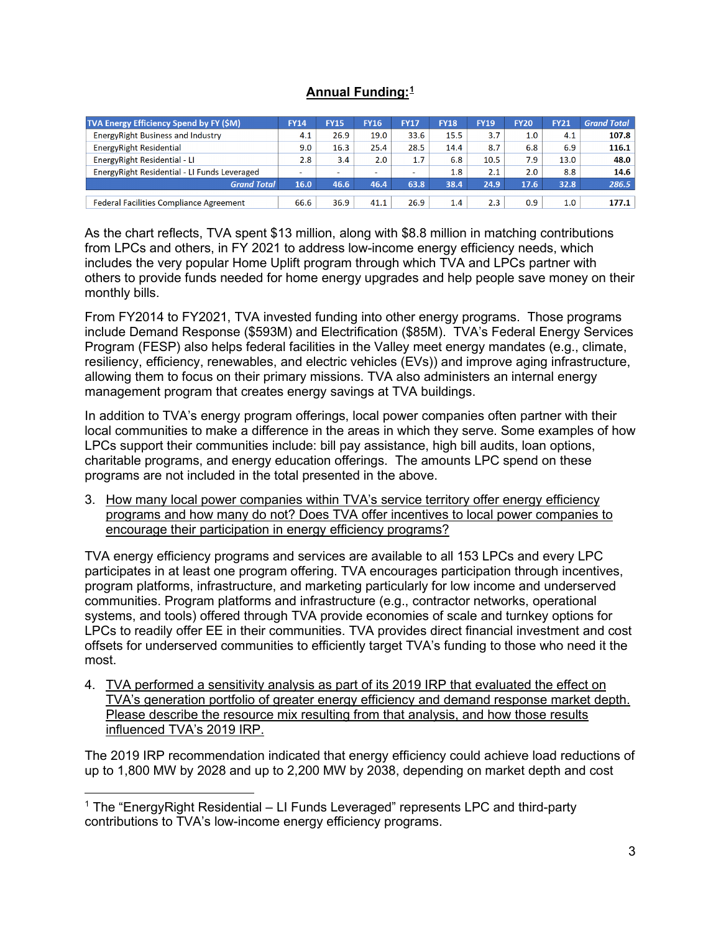# **Annual Funding:[1](#page-7-0)**

| TVA Energy Efficiency Spend by FY (\$M)        | <b>FY14</b> | <b>FY15</b>              | <b>FY16</b>              | <b>FY17</b> | <b>FY18</b> | <b>FY19</b> | <b>FY20</b> | <b>FY21</b> | <b>Grand Total</b> |
|------------------------------------------------|-------------|--------------------------|--------------------------|-------------|-------------|-------------|-------------|-------------|--------------------|
| Energy Right Business and Industry             | 4.1         | 26.9                     | 19.0                     | 33.6        | 15.5        | 3.7         | 1.0         | 4.1         | 107.8              |
| Energy Right Residential                       | 9.0         | 16.3                     | 25.4                     | 28.5        | 14.4        | 8.7         | 6.8         | 6.9         | 116.1              |
| Energy Right Residential - LI                  | 2.8         | 3.4                      | 2.0                      | 1.7         | 6.8         | 10.5        | 7.9         | 13.0        | 48.0               |
| Energy Right Residential - LI Funds Leveraged  | -           | $\overline{\phantom{a}}$ | $\overline{\phantom{a}}$ | ۰           | 1.8         | 2.1         | 2.0         | 8.8         | 14.6               |
| <b>Grand Total</b>                             | 16.0        | 46.6                     | 46.4                     | 63.8        | 38.4        | 24.9        | 17.6        | 32.8        | 286.5              |
| <b>Federal Facilities Compliance Agreement</b> | 66.6        | 36.9                     | 41.1                     | 26.9        | 1.4         | 2.3         | 0.9         | 1.0         | 177.1              |

As the chart reflects, TVA spent \$13 million, along with \$8.8 million in matching contributions from LPCs and others, in FY 2021 to address low-income energy efficiency needs, which includes the very popular Home Uplift program through which TVA and LPCs partner with others to provide funds needed for home energy upgrades and help people save money on their monthly bills.

From FY2014 to FY2021, TVA invested funding into other energy programs. Those programs include Demand Response (\$593M) and Electrification (\$85M). TVA's Federal Energy Services Program (FESP) also helps federal facilities in the Valley meet energy mandates (e.g., climate, resiliency, efficiency, renewables, and electric vehicles (EVs)) and improve aging infrastructure, allowing them to focus on their primary missions. TVA also administers an internal energy management program that creates energy savings at TVA buildings.

In addition to TVA's energy program offerings, local power companies often partner with their local communities to make a difference in the areas in which they serve. Some examples of how LPCs support their communities include: bill pay assistance, high bill audits, loan options, charitable programs, and energy education offerings. The amounts LPC spend on these programs are not included in the total presented in the above.

3. How many local power companies within TVA's service territory offer energy efficiency programs and how many do not? Does TVA offer incentives to local power companies to encourage their participation in energy efficiency programs?

TVA energy efficiency programs and services are available to all 153 LPCs and every LPC participates in at least one program offering. TVA encourages participation through incentives, program platforms, infrastructure, and marketing particularly for low income and underserved communities. Program platforms and infrastructure (e.g., contractor networks, operational systems, and tools) offered through TVA provide economies of scale and turnkey options for LPCs to readily offer EE in their communities. TVA provides direct financial investment and cost offsets for underserved communities to efficiently target TVA's funding to those who need it the most.

4. TVA performed a sensitivity analysis as part of its 2019 IRP that evaluated the effect on TVA's generation portfolio of greater energy efficiency and demand response market depth. Please describe the resource mix resulting from that analysis, and how those results influenced TVA's 2019 IRP.

The 2019 IRP recommendation indicated that energy efficiency could achieve load reductions of up to 1,800 MW by 2028 and up to 2,200 MW by 2038, depending on market depth and cost

<span id="page-7-0"></span> $1$  The "EnergyRight Residential – LI Funds Leveraged" represents LPC and third-party contributions to TVA's low-income energy efficiency programs.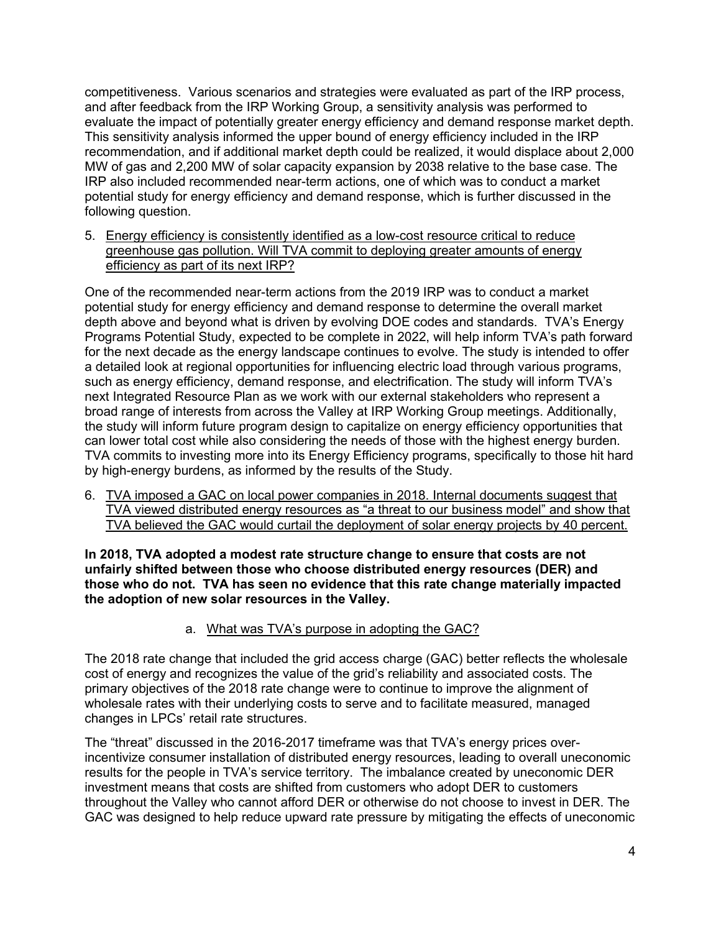competitiveness. Various scenarios and strategies were evaluated as part of the IRP process, and after feedback from the IRP Working Group, a sensitivity analysis was performed to evaluate the impact of potentially greater energy efficiency and demand response market depth. This sensitivity analysis informed the upper bound of energy efficiency included in the IRP recommendation, and if additional market depth could be realized, it would displace about 2,000 MW of gas and 2,200 MW of solar capacity expansion by 2038 relative to the base case. The IRP also included recommended near-term actions, one of which was to conduct a market potential study for energy efficiency and demand response, which is further discussed in the following question.

5. Energy efficiency is consistently identified as a low-cost resource critical to reduce greenhouse gas pollution. Will TVA commit to deploying greater amounts of energy efficiency as part of its next IRP?

One of the recommended near-term actions from the 2019 IRP was to conduct a market potential study for energy efficiency and demand response to determine the overall market depth above and beyond what is driven by evolving DOE codes and standards. TVA's Energy Programs Potential Study, expected to be complete in 2022, will help inform TVA's path forward for the next decade as the energy landscape continues to evolve. The study is intended to offer a detailed look at regional opportunities for influencing electric load through various programs, such as energy efficiency, demand response, and electrification. The study will inform TVA's next Integrated Resource Plan as we work with our external stakeholders who represent a broad range of interests from across the Valley at IRP Working Group meetings. Additionally, the study will inform future program design to capitalize on energy efficiency opportunities that can lower total cost while also considering the needs of those with the highest energy burden. TVA commits to investing more into its Energy Efficiency programs, specifically to those hit hard by high-energy burdens, as informed by the results of the Study.

6. TVA imposed a GAC on local power companies in 2018. Internal documents suggest that TVA viewed distributed energy resources as "a threat to our business model" and show that TVA believed the GAC would curtail the deployment of solar energy projects by 40 percent.

**In 2018, TVA adopted a modest rate structure change to ensure that costs are not unfairly shifted between those who choose distributed energy resources (DER) and those who do not. TVA has seen no evidence that this rate change materially impacted the adoption of new solar resources in the Valley.** 

a. What was TVA's purpose in adopting the GAC?

The 2018 rate change that included the grid access charge (GAC) better reflects the wholesale cost of energy and recognizes the value of the grid's reliability and associated costs. The primary objectives of the 2018 rate change were to continue to improve the alignment of wholesale rates with their underlying costs to serve and to facilitate measured, managed changes in LPCs' retail rate structures.

The "threat" discussed in the 2016-2017 timeframe was that TVA's energy prices overincentivize consumer installation of distributed energy resources, leading to overall uneconomic results for the people in TVA's service territory. The imbalance created by uneconomic DER investment means that costs are shifted from customers who adopt DER to customers throughout the Valley who cannot afford DER or otherwise do not choose to invest in DER. The GAC was designed to help reduce upward rate pressure by mitigating the effects of uneconomic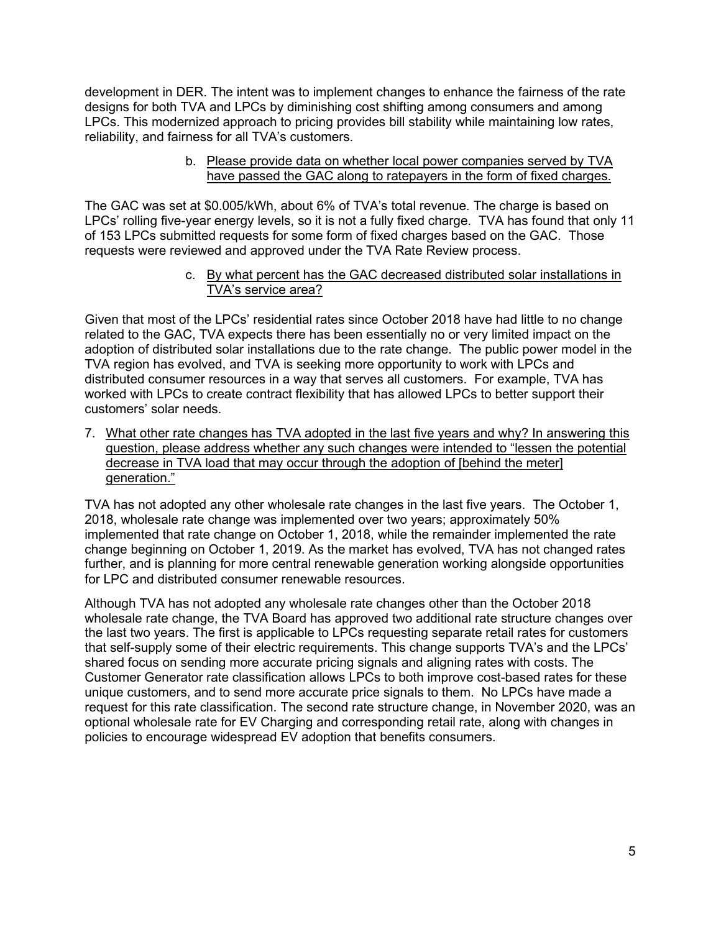development in DER. The intent was to implement changes to enhance the fairness of the rate designs for both TVA and LPCs by diminishing cost shifting among consumers and among LPCs. This modernized approach to pricing provides bill stability while maintaining low rates, reliability, and fairness for all TVA's customers.

> b. Please provide data on whether local power companies served by TVA have passed the GAC along to ratepayers in the form of fixed charges.

The GAC was set at \$0.005/kWh, about 6% of TVA's total revenue. The charge is based on LPCs' rolling five-year energy levels, so it is not a fully fixed charge. TVA has found that only 11 of 153 LPCs submitted requests for some form of fixed charges based on the GAC. Those requests were reviewed and approved under the TVA Rate Review process.

> c. By what percent has the GAC decreased distributed solar installations in TVA's service area?

Given that most of the LPCs' residential rates since October 2018 have had little to no change related to the GAC, TVA expects there has been essentially no or very limited impact on the adoption of distributed solar installations due to the rate change. The public power model in the TVA region has evolved, and TVA is seeking more opportunity to work with LPCs and distributed consumer resources in a way that serves all customers. For example, TVA has worked with LPCs to create contract flexibility that has allowed LPCs to better support their customers' solar needs.

7. What other rate changes has TVA adopted in the last five years and why? In answering this question, please address whether any such changes were intended to "lessen the potential decrease in TVA load that may occur through the adoption of [behind the meter] generation."

TVA has not adopted any other wholesale rate changes in the last five years. The October 1, 2018, wholesale rate change was implemented over two years; approximately 50% implemented that rate change on October 1, 2018, while the remainder implemented the rate change beginning on October 1, 2019. As the market has evolved, TVA has not changed rates further, and is planning for more central renewable generation working alongside opportunities for LPC and distributed consumer renewable resources.

Although TVA has not adopted any wholesale rate changes other than the October 2018 wholesale rate change, the TVA Board has approved two additional rate structure changes over the last two years. The first is applicable to LPCs requesting separate retail rates for customers that self-supply some of their electric requirements. This change supports TVA's and the LPCs' shared focus on sending more accurate pricing signals and aligning rates with costs. The Customer Generator rate classification allows LPCs to both improve cost-based rates for these unique customers, and to send more accurate price signals to them. No LPCs have made a request for this rate classification. The second rate structure change, in November 2020, was an optional wholesale rate for EV Charging and corresponding retail rate, along with changes in policies to encourage widespread EV adoption that benefits consumers.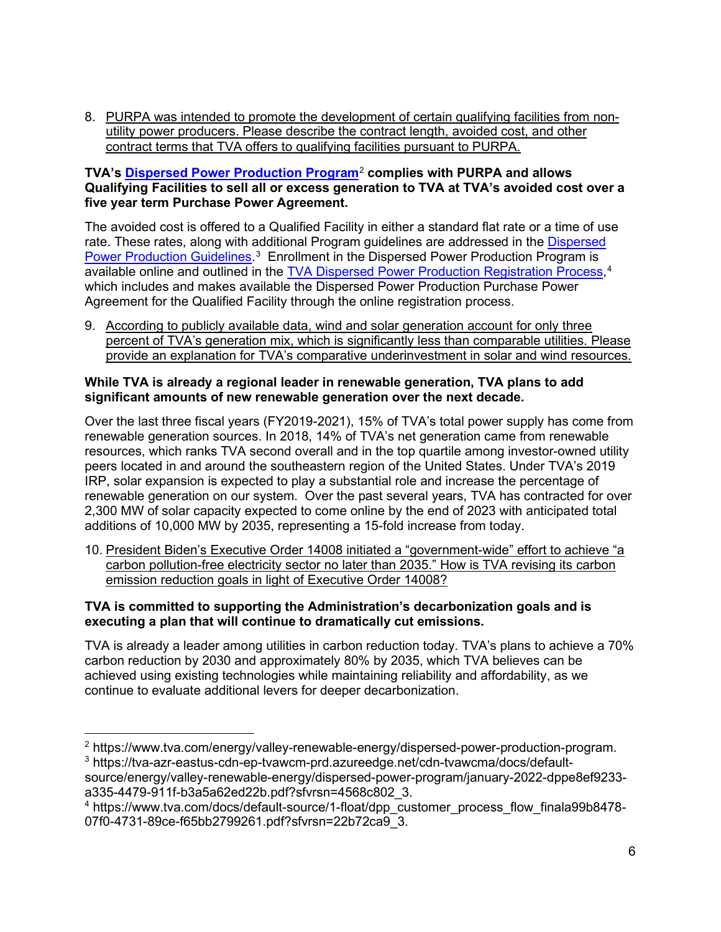8. PURPA was intended to promote the development of certain qualifying facilities from nonutility power producers. Please describe the contract length, avoided cost, and other contract terms that TVA offers to qualifying facilities pursuant to PURPA.

## **TVA's [Dispersed Power Production Program](https://www.tva.com/energy/valley-renewable-energy/dispersed-power-production-program)**[2](#page-10-0) **complies with PURPA and allows Qualifying Facilities to sell all or excess generation to TVA at TVA's avoided cost over a five year term Purchase Power Agreement.**

The avoided cost is offered to a Qualified Facility in either a standard flat rate or a time of use rate. These rates, along with additional Program guidelines are addressed in the Dispersed [Power Production Guidelines.](https://tva-azr-eastus-cdn-ep-tvawcm-prd.azureedge.net/cdn-tvawcma/docs/default-source/energy/valley-renewable-energy/dispersed-power-program/january-2022-dppe8ef9233-a335-4479-911f-b3a5a62ed22b.pdf?sfvrsn=4568c802_3)<sup>[3](#page-10-1)</sup> Enrollment in the Dispersed Power Production Program is available online and outlined in the <u>TVA Dispersed Power Production Registration Process</u>,<sup>[4](#page-10-2)</sup> which includes and makes available the Dispersed Power Production Purchase Power Agreement for the Qualified Facility through the online registration process.

9. According to publicly available data, wind and solar generation account for only three percent of TVA's generation mix, which is significantly less than comparable utilities. Please provide an explanation for TVA's comparative underinvestment in solar and wind resources.

#### **While TVA is already a regional leader in renewable generation, TVA plans to add significant amounts of new renewable generation over the next decade.**

Over the last three fiscal years (FY2019-2021), 15% of TVA's total power supply has come from renewable generation sources. In 2018, 14% of TVA's net generation came from renewable resources, which ranks TVA second overall and in the top quartile among investor-owned utility peers located in and around the southeastern region of the United States. Under TVA's 2019 IRP, solar expansion is expected to play a substantial role and increase the percentage of renewable generation on our system. Over the past several years, TVA has contracted for over 2,300 MW of solar capacity expected to come online by the end of 2023 with anticipated total additions of 10,000 MW by 2035, representing a 15-fold increase from today.

10. President Biden's Executive Order 14008 initiated a "government-wide" effort to achieve "a carbon pollution-free electricity sector no later than 2035." How is TVA revising its carbon emission reduction goals in light of Executive Order 14008?

# **TVA is committed to supporting the Administration's decarbonization goals and is executing a plan that will continue to dramatically cut emissions.**

TVA is already a leader among utilities in carbon reduction today. TVA's plans to achieve a 70% carbon reduction by 2030 and approximately 80% by 2035, which TVA believes can be achieved using existing technologies while maintaining reliability and affordability, as we continue to evaluate additional levers for deeper decarbonization.

<span id="page-10-0"></span><sup>2</sup> https://www.tva.com/energy/valley-renewable-energy/dispersed-power-production-program. <sup>3</sup> https://tva-azr-eastus-cdn-ep-tvawcm-prd.azureedge.net/cdn-tvawcma/docs/default-

<span id="page-10-1"></span>source/energy/valley-renewable-energy/dispersed-power-program/january-2022-dppe8ef9233 a335-4479-911f-b3a5a62ed22b.pdf?sfvrsn=4568c802\_3.

<span id="page-10-2"></span><sup>4</sup> https://www.tva.com/docs/default-source/1-float/dpp\_customer\_process\_flow\_finala99b8478- 07f0-4731-89ce-f65bb2799261.pdf?sfvrsn=22b72ca9\_3.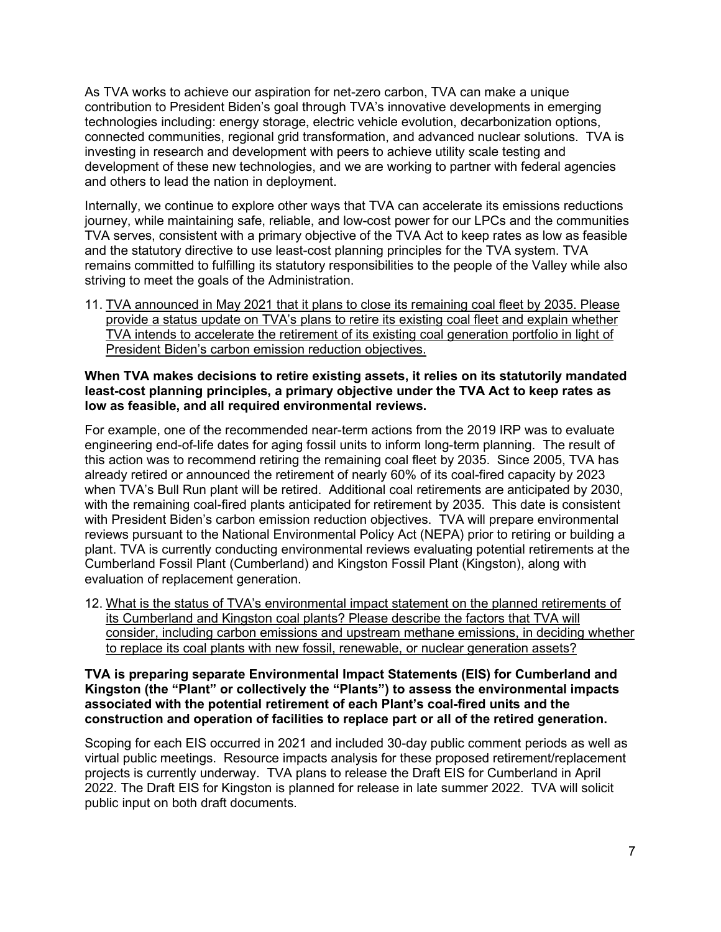As TVA works to achieve our aspiration for net-zero carbon, TVA can make a unique contribution to President Biden's goal through TVA's innovative developments in emerging technologies including: energy storage, electric vehicle evolution, decarbonization options, connected communities, regional grid transformation, and advanced nuclear solutions. TVA is investing in research and development with peers to achieve utility scale testing and development of these new technologies, and we are working to partner with federal agencies and others to lead the nation in deployment.

Internally, we continue to explore other ways that TVA can accelerate its emissions reductions journey, while maintaining safe, reliable, and low-cost power for our LPCs and the communities TVA serves, consistent with a primary objective of the TVA Act to keep rates as low as feasible and the statutory directive to use least-cost planning principles for the TVA system. TVA remains committed to fulfilling its statutory responsibilities to the people of the Valley while also striving to meet the goals of the Administration.

11. TVA announced in May 2021 that it plans to close its remaining coal fleet by 2035. Please provide a status update on TVA's plans to retire its existing coal fleet and explain whether TVA intends to accelerate the retirement of its existing coal generation portfolio in light of President Biden's carbon emission reduction objectives.

#### **When TVA makes decisions to retire existing assets, it relies on its statutorily mandated least-cost planning principles, a primary objective under the TVA Act to keep rates as low as feasible, and all required environmental reviews.**

For example, one of the recommended near-term actions from the 2019 IRP was to evaluate engineering end-of-life dates for aging fossil units to inform long-term planning. The result of this action was to recommend retiring the remaining coal fleet by 2035. Since 2005, TVA has already retired or announced the retirement of nearly 60% of its coal-fired capacity by 2023 when TVA's Bull Run plant will be retired. Additional coal retirements are anticipated by 2030, with the remaining coal-fired plants anticipated for retirement by 2035. This date is consistent with President Biden's carbon emission reduction objectives. TVA will prepare environmental reviews pursuant to the National Environmental Policy Act (NEPA) prior to retiring or building a plant. TVA is currently conducting environmental reviews evaluating potential retirements at the Cumberland Fossil Plant (Cumberland) and Kingston Fossil Plant (Kingston), along with evaluation of replacement generation.

12. What is the status of TVA's environmental impact statement on the planned retirements of its Cumberland and Kingston coal plants? Please describe the factors that TVA will consider, including carbon emissions and upstream methane emissions, in deciding whether to replace its coal plants with new fossil, renewable, or nuclear generation assets?

#### **TVA is preparing separate Environmental Impact Statements (EIS) for Cumberland and Kingston (the "Plant" or collectively the "Plants") to assess the environmental impacts associated with the potential retirement of each Plant's coal-fired units and the construction and operation of facilities to replace part or all of the retired generation.**

Scoping for each EIS occurred in 2021 and included 30-day public comment periods as well as virtual public meetings. Resource impacts analysis for these proposed retirement/replacement projects is currently underway. TVA plans to release the Draft EIS for Cumberland in April 2022. The Draft EIS for Kingston is planned for release in late summer 2022. TVA will solicit public input on both draft documents.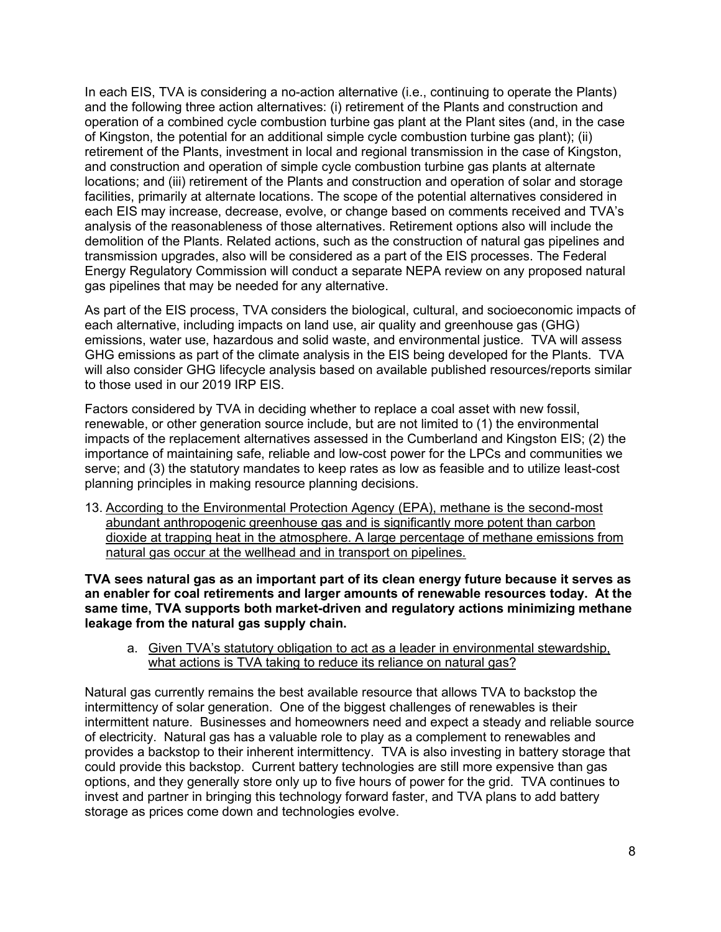In each EIS, TVA is considering a no-action alternative (i.e., continuing to operate the Plants) and the following three action alternatives: (i) retirement of the Plants and construction and operation of a combined cycle combustion turbine gas plant at the Plant sites (and, in the case of Kingston, the potential for an additional simple cycle combustion turbine gas plant); (ii) retirement of the Plants, investment in local and regional transmission in the case of Kingston, and construction and operation of simple cycle combustion turbine gas plants at alternate locations; and (iii) retirement of the Plants and construction and operation of solar and storage facilities, primarily at alternate locations. The scope of the potential alternatives considered in each EIS may increase, decrease, evolve, or change based on comments received and TVA's analysis of the reasonableness of those alternatives. Retirement options also will include the demolition of the Plants. Related actions, such as the construction of natural gas pipelines and transmission upgrades, also will be considered as a part of the EIS processes. The Federal Energy Regulatory Commission will conduct a separate NEPA review on any proposed natural gas pipelines that may be needed for any alternative.

As part of the EIS process, TVA considers the biological, cultural, and socioeconomic impacts of each alternative, including impacts on land use, air quality and greenhouse gas (GHG) emissions, water use, hazardous and solid waste, and environmental justice. TVA will assess GHG emissions as part of the climate analysis in the EIS being developed for the Plants. TVA will also consider GHG lifecycle analysis based on available published resources/reports similar to those used in our 2019 IRP EIS.

Factors considered by TVA in deciding whether to replace a coal asset with new fossil, renewable, or other generation source include, but are not limited to (1) the environmental impacts of the replacement alternatives assessed in the Cumberland and Kingston EIS; (2) the importance of maintaining safe, reliable and low-cost power for the LPCs and communities we serve; and (3) the statutory mandates to keep rates as low as feasible and to utilize least-cost planning principles in making resource planning decisions.

13. According to the Environmental Protection Agency (EPA), methane is the second-most abundant anthropogenic greenhouse gas and is significantly more potent than carbon dioxide at trapping heat in the atmosphere. A large percentage of methane emissions from natural gas occur at the wellhead and in transport on pipelines.

**TVA sees natural gas as an important part of its clean energy future because it serves as an enabler for coal retirements and larger amounts of renewable resources today. At the same time, TVA supports both market-driven and regulatory actions minimizing methane leakage from the natural gas supply chain.**

a. Given TVA's statutory obligation to act as a leader in environmental stewardship, what actions is TVA taking to reduce its reliance on natural gas?

Natural gas currently remains the best available resource that allows TVA to backstop the intermittency of solar generation. One of the biggest challenges of renewables is their intermittent nature. Businesses and homeowners need and expect a steady and reliable source of electricity. Natural gas has a valuable role to play as a complement to renewables and provides a backstop to their inherent intermittency. TVA is also investing in battery storage that could provide this backstop. Current battery technologies are still more expensive than gas options, and they generally store only up to five hours of power for the grid. TVA continues to invest and partner in bringing this technology forward faster, and TVA plans to add battery storage as prices come down and technologies evolve.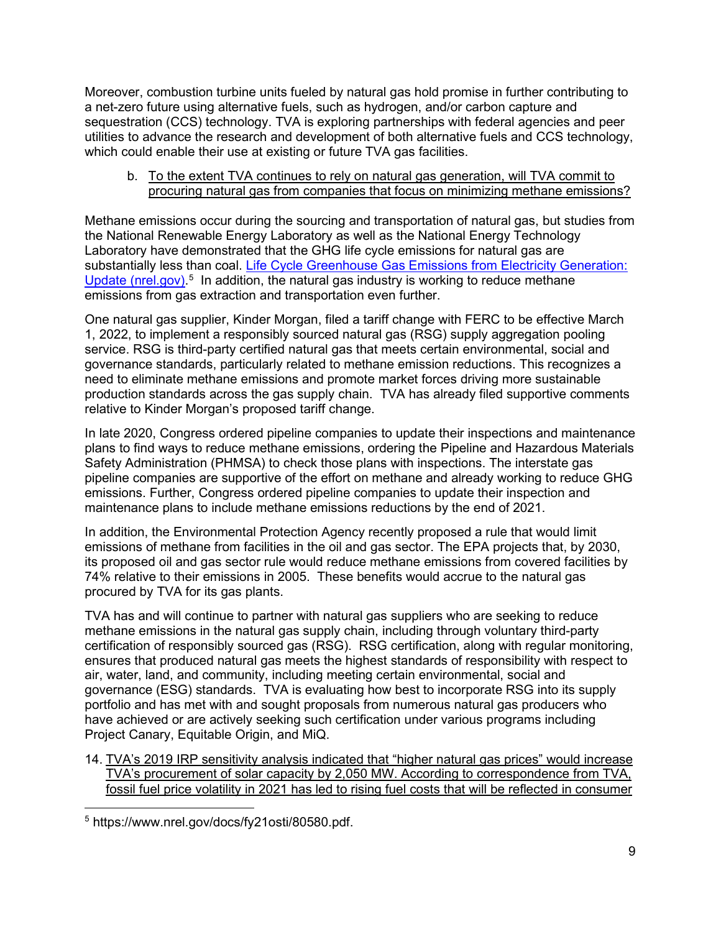Moreover, combustion turbine units fueled by natural gas hold promise in further contributing to a net-zero future using alternative fuels, such as hydrogen, and/or carbon capture and sequestration (CCS) technology. TVA is exploring partnerships with federal agencies and peer utilities to advance the research and development of both alternative fuels and CCS technology, which could enable their use at existing or future TVA gas facilities.

#### b. To the extent TVA continues to rely on natural gas generation, will TVA commit to procuring natural gas from companies that focus on minimizing methane emissions?

Methane emissions occur during the sourcing and transportation of natural gas, but studies from the National Renewable Energy Laboratory as well as the National Energy Technology Laboratory have demonstrated that the GHG life cycle emissions for natural gas are substantially less than coal. Life Cycle Greenhouse Gas Emissions from Electricity Generation: [Update \(nrel.gov\).](https://www.nrel.gov/docs/fy21osti/80580.pdf)<sup>[5](#page-13-0)</sup> In addition, the natural gas industry is working to reduce methane emissions from gas extraction and transportation even further.

One natural gas supplier, Kinder Morgan, filed a tariff change with FERC to be effective March 1, 2022, to implement a responsibly sourced natural gas (RSG) supply aggregation pooling service. RSG is third-party certified natural gas that meets certain environmental, social and governance standards, particularly related to methane emission reductions. This recognizes a need to eliminate methane emissions and promote market forces driving more sustainable production standards across the gas supply chain. TVA has already filed supportive comments relative to Kinder Morgan's proposed tariff change.

In late 2020, Congress ordered pipeline companies to update their inspections and maintenance plans to find ways to reduce methane emissions, ordering the Pipeline and Hazardous Materials Safety Administration (PHMSA) to check those plans with inspections. The interstate gas pipeline companies are supportive of the effort on methane and already working to reduce GHG emissions. Further, Congress ordered pipeline companies to update their inspection and maintenance plans to include methane emissions reductions by the end of 2021.

In addition, the Environmental Protection Agency recently proposed a rule that would limit emissions of methane from facilities in the oil and gas sector. The EPA projects that, by 2030, its proposed oil and gas sector rule would reduce methane emissions from covered facilities by 74% relative to their emissions in 2005. These benefits would accrue to the natural gas procured by TVA for its gas plants.

TVA has and will continue to partner with natural gas suppliers who are seeking to reduce methane emissions in the natural gas supply chain, including through voluntary third-party certification of responsibly sourced gas (RSG). RSG certification, along with regular monitoring, ensures that produced natural gas meets the highest standards of responsibility with respect to air, water, land, and community, including meeting certain environmental, social and governance (ESG) standards. TVA is evaluating how best to incorporate RSG into its supply portfolio and has met with and sought proposals from numerous natural gas producers who have achieved or are actively seeking such certification under various programs including Project Canary, Equitable Origin, and MiQ.

14. TVA's 2019 IRP sensitivity analysis indicated that "higher natural gas prices" would increase TVA's procurement of solar capacity by 2,050 MW. According to correspondence from TVA, fossil fuel price volatility in 2021 has led to rising fuel costs that will be reflected in consumer

<span id="page-13-0"></span><sup>5</sup> https://www.nrel.gov/docs/fy21osti/80580.pdf.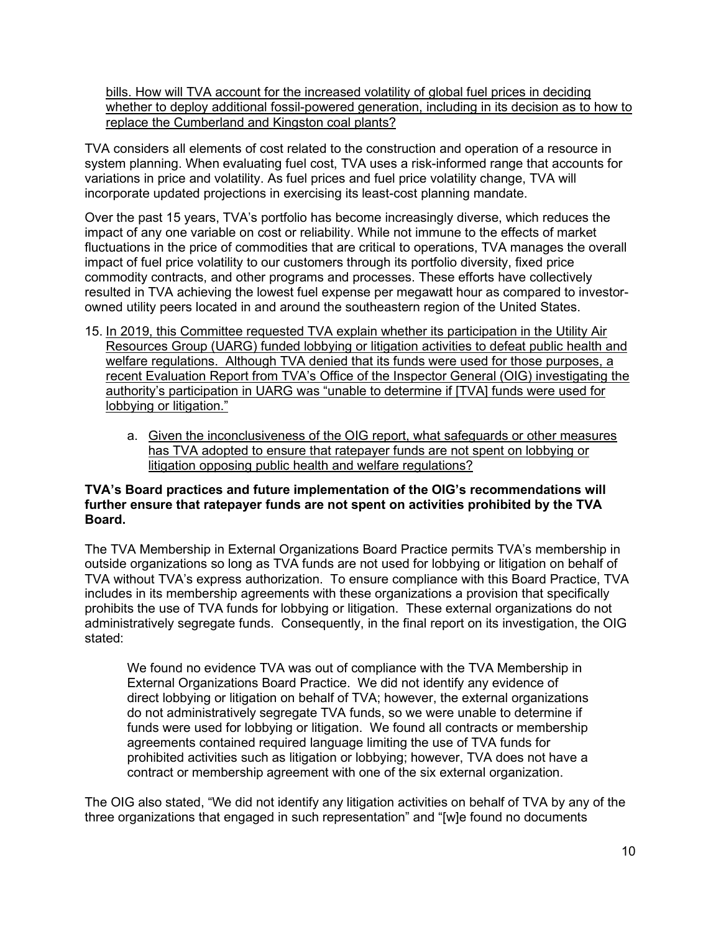bills. How will TVA account for the increased volatility of global fuel prices in deciding whether to deploy additional fossil-powered generation, including in its decision as to how to replace the Cumberland and Kingston coal plants?

TVA considers all elements of cost related to the construction and operation of a resource in system planning. When evaluating fuel cost, TVA uses a risk-informed range that accounts for variations in price and volatility. As fuel prices and fuel price volatility change, TVA will incorporate updated projections in exercising its least-cost planning mandate.

Over the past 15 years, TVA's portfolio has become increasingly diverse, which reduces the impact of any one variable on cost or reliability. While not immune to the effects of market fluctuations in the price of commodities that are critical to operations, TVA manages the overall impact of fuel price volatility to our customers through its portfolio diversity, fixed price commodity contracts, and other programs and processes. These efforts have collectively resulted in TVA achieving the lowest fuel expense per megawatt hour as compared to investorowned utility peers located in and around the southeastern region of the United States.

- 15. In 2019, this Committee requested TVA explain whether its participation in the Utility Air Resources Group (UARG) funded lobbying or litigation activities to defeat public health and welfare regulations. Although TVA denied that its funds were used for those purposes, a recent Evaluation Report from TVA's Office of the Inspector General (OIG) investigating the authority's participation in UARG was "unable to determine if [TVA] funds were used for lobbying or litigation."
	- a. Given the inconclusiveness of the OIG report, what safeguards or other measures has TVA adopted to ensure that ratepayer funds are not spent on lobbying or litigation opposing public health and welfare regulations?

#### **TVA's Board practices and future implementation of the OIG's recommendations will further ensure that ratepayer funds are not spent on activities prohibited by the TVA Board.**

The TVA Membership in External Organizations Board Practice permits TVA's membership in outside organizations so long as TVA funds are not used for lobbying or litigation on behalf of TVA without TVA's express authorization. To ensure compliance with this Board Practice, TVA includes in its membership agreements with these organizations a provision that specifically prohibits the use of TVA funds for lobbying or litigation. These external organizations do not administratively segregate funds. Consequently, in the final report on its investigation, the OIG stated:

We found no evidence TVA was out of compliance with the TVA Membership in External Organizations Board Practice. We did not identify any evidence of direct lobbying or litigation on behalf of TVA; however, the external organizations do not administratively segregate TVA funds, so we were unable to determine if funds were used for lobbying or litigation. We found all contracts or membership agreements contained required language limiting the use of TVA funds for prohibited activities such as litigation or lobbying; however, TVA does not have a contract or membership agreement with one of the six external organization.

The OIG also stated, "We did not identify any litigation activities on behalf of TVA by any of the three organizations that engaged in such representation" and "[w]e found no documents